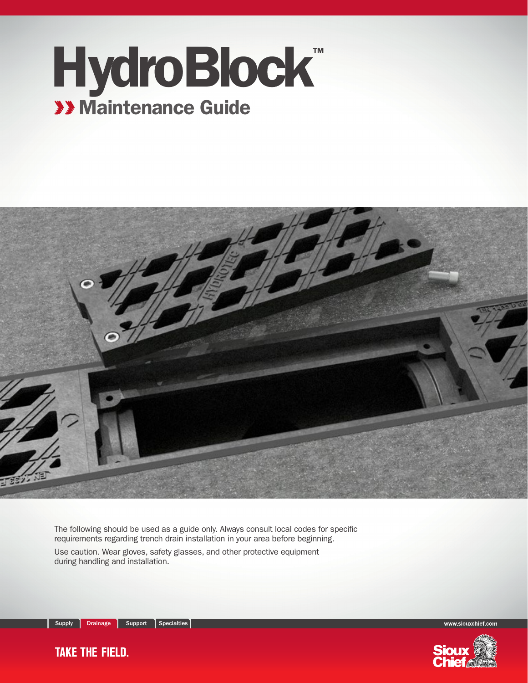## HydroBlock<sup>™</sup> **XX Maintenance Guide**



The following should be used as a guide only. Always consult local codes for specific requirements regarding trench drain installation in your area before beginning.

Use caution. Wear gloves, safety glasses, and other protective equipment during handling and installation.

**TAKE THE FIELD.** 



www.siouxchief.com